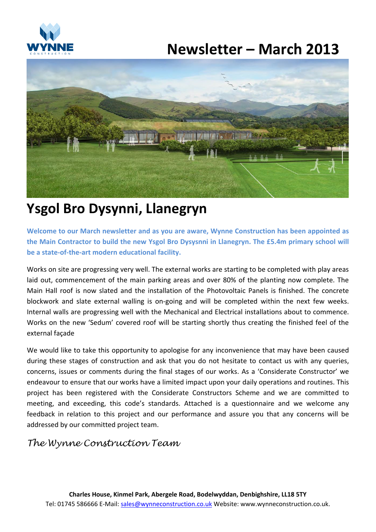

# **Newsletter – March 2013**



## **Ysgol Bro Dysynni, Llanegryn**

**Welcome to our March newsletter and as you are aware, Wynne Construction has been appointed as the Main Contractor to build the new Ysgol Bro Dysysnni in Llanegryn. The £5.4m primary school will be a state-of-the-art modern educational facility.**

Works on site are progressing very well. The external works are starting to be completed with play areas laid out, commencement of the main parking areas and over 80% of the planting now complete. The Main Hall roof is now slated and the installation of the Photovoltaic Panels is finished. The concrete blockwork and slate external walling is on-going and will be completed within the next few weeks. Internal walls are progressing well with the Mechanical and Electrical installations about to commence. Works on the new 'Sedum' covered roof will be starting shortly thus creating the finished feel of the external façade

We would like to take this opportunity to apologise for any inconvenience that may have been caused during these stages of construction and ask that you do not hesitate to contact us with any queries, concerns, issues or comments during the final stages of our works. As a 'Considerate Constructor' we endeavour to ensure that our works have a limited impact upon your daily operations and routines. This project has been registered with the Considerate Constructors Scheme and we are committed to meeting, and exceeding, this code's standards. Attached is a questionnaire and we welcome any feedback in relation to this project and our performance and assure you that any concerns will be addressed by our committed project team.

## *The Wynne Construction Team*